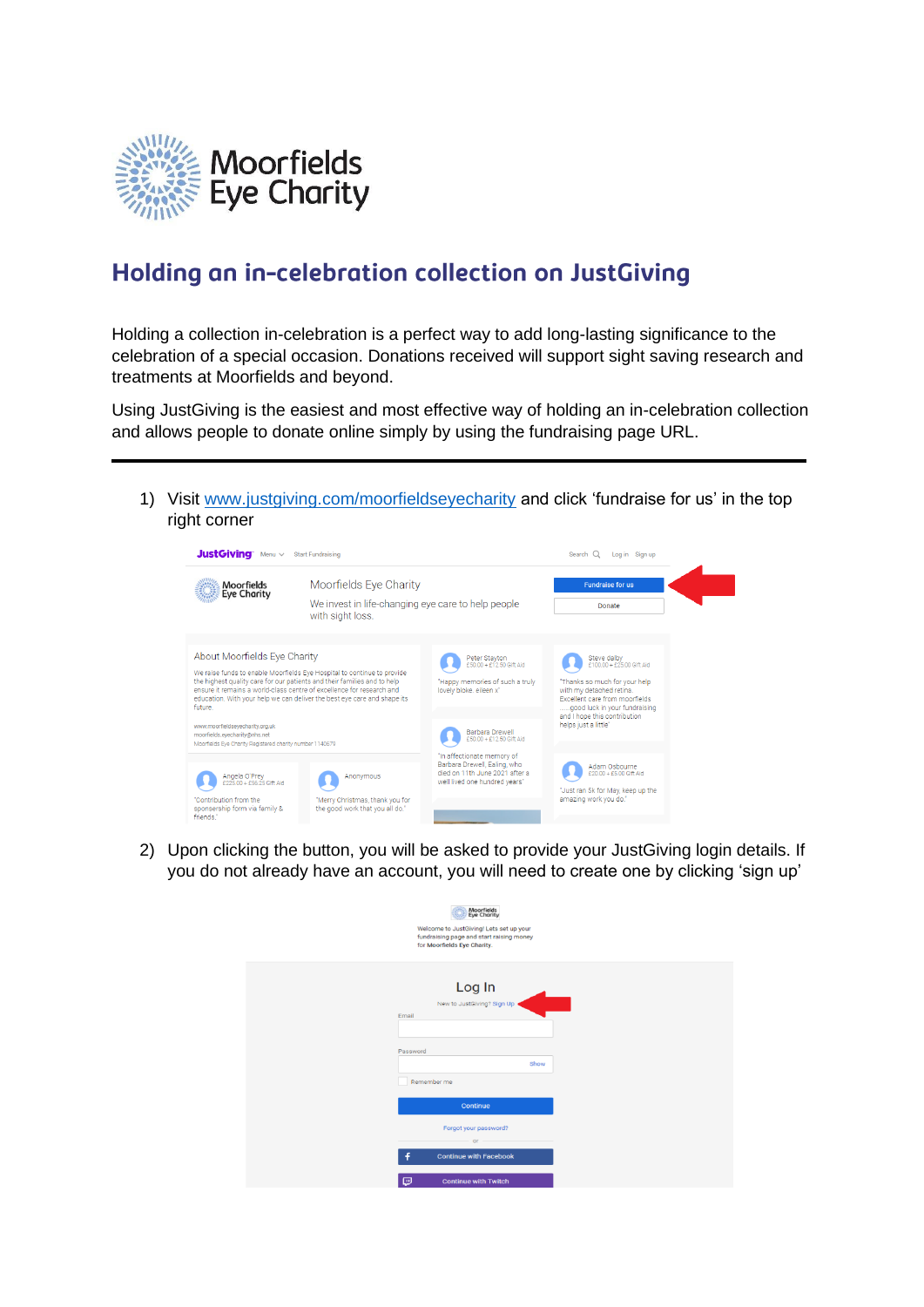

## Holding an in-celebration collection on JustGiving

Holding a collection in-celebration is a perfect way to add long-lasting significance to the celebration of a special occasion. Donations received will support sight saving research and treatments at Moorfields and beyond.

Using JustGiving is the easiest and most effective way of holding an in-celebration collection and allows people to donate online simply by using the fundraising page URL.

1) Visit [www.justgiving.com/moorfieldseyecharity](http://www.justgiving.com/moorfieldseyecharity) and click 'fundraise for us' in the top right corner

| <b>JustGiving</b> Menu $\vee$<br>Start Fundraising                                                                                                                                                                                                                                                                  |                                                                                                  |                                                                                                                               | Log in Sign up<br>Search $Q$                                                                                                                                                         |  |
|---------------------------------------------------------------------------------------------------------------------------------------------------------------------------------------------------------------------------------------------------------------------------------------------------------------------|--------------------------------------------------------------------------------------------------|-------------------------------------------------------------------------------------------------------------------------------|--------------------------------------------------------------------------------------------------------------------------------------------------------------------------------------|--|
| <b>Moorfields</b><br><b>Eye Charity</b>                                                                                                                                                                                                                                                                             | Moorfields Eye Charity<br>We invest in life-changing eye care to help people<br>with sight loss. |                                                                                                                               | <b>Fundraise for us</b>                                                                                                                                                              |  |
|                                                                                                                                                                                                                                                                                                                     |                                                                                                  |                                                                                                                               | Donate                                                                                                                                                                               |  |
| About Moorfields Eve Charity                                                                                                                                                                                                                                                                                        |                                                                                                  | Peter Stayton<br>£50.00 + £12.50 Gift Aid                                                                                     | Steve dalby<br>£100.00 + £25.00 Gift Aid                                                                                                                                             |  |
| We raise funds to enable Moorfields Eye Hospital to continue to provide<br>the highest quality care for our patients and their families and to help<br>ensure it remains a world-class centre of excellence for research and<br>education. With your help we can deliver the best eve care and shape its<br>future. |                                                                                                  | "Happy memories of such a truly<br>lovely bloke, eileen x"                                                                    | 'Thanks so much for your help<br>with my detached retina.<br>Excellent care from moorfields<br>good luck in your fundraising<br>and I hope this contribution<br>helps just a little" |  |
| www.moorfieldseyecharity.org.uk<br>moorfields.eyecharity@nhs.net                                                                                                                                                                                                                                                    | Moorfields Eye Charity Registered charity number 1140679                                         |                                                                                                                               |                                                                                                                                                                                      |  |
| Angela O'Prey<br>£225.00 + £56.25 Gift Aid                                                                                                                                                                                                                                                                          | Anonymous                                                                                        | "In affectionate memory of<br>Barbara Drewell, Ealing, who<br>died on 11th June 2021 after a<br>well lived one hundred vears" | Adam Osbourne<br>£20.00 + £5.00 Gift Aid                                                                                                                                             |  |
| "Contribution from the<br>sponsership form via family &<br>friends."                                                                                                                                                                                                                                                | "Merry Christmas, thank you for<br>the good work that you all do."                               |                                                                                                                               | "Just ran 5k for May, keep up the<br>amazing work you do."                                                                                                                           |  |

2) Upon clicking the button, you will be asked to provide your JustGiving login details. If you do not already have an account, you will need to create one by clicking 'sign up'

| Moorfields<br>Eye Charity<br>Welcome to JustGiving! Lets set up your<br>fundraising page and start raising money<br>for Moorfields Eye Charity. |  |
|-------------------------------------------------------------------------------------------------------------------------------------------------|--|
| Log In<br>New to JustGiving? Sign Up<br>Email<br>Password                                                                                       |  |
| Show                                                                                                                                            |  |
| Remember me                                                                                                                                     |  |
| Continue                                                                                                                                        |  |
| Forgot your password?                                                                                                                           |  |
| $or -$                                                                                                                                          |  |
| f<br><b>Continue with Facebook</b>                                                                                                              |  |
| Θ<br><b>Continue with Twitch</b>                                                                                                                |  |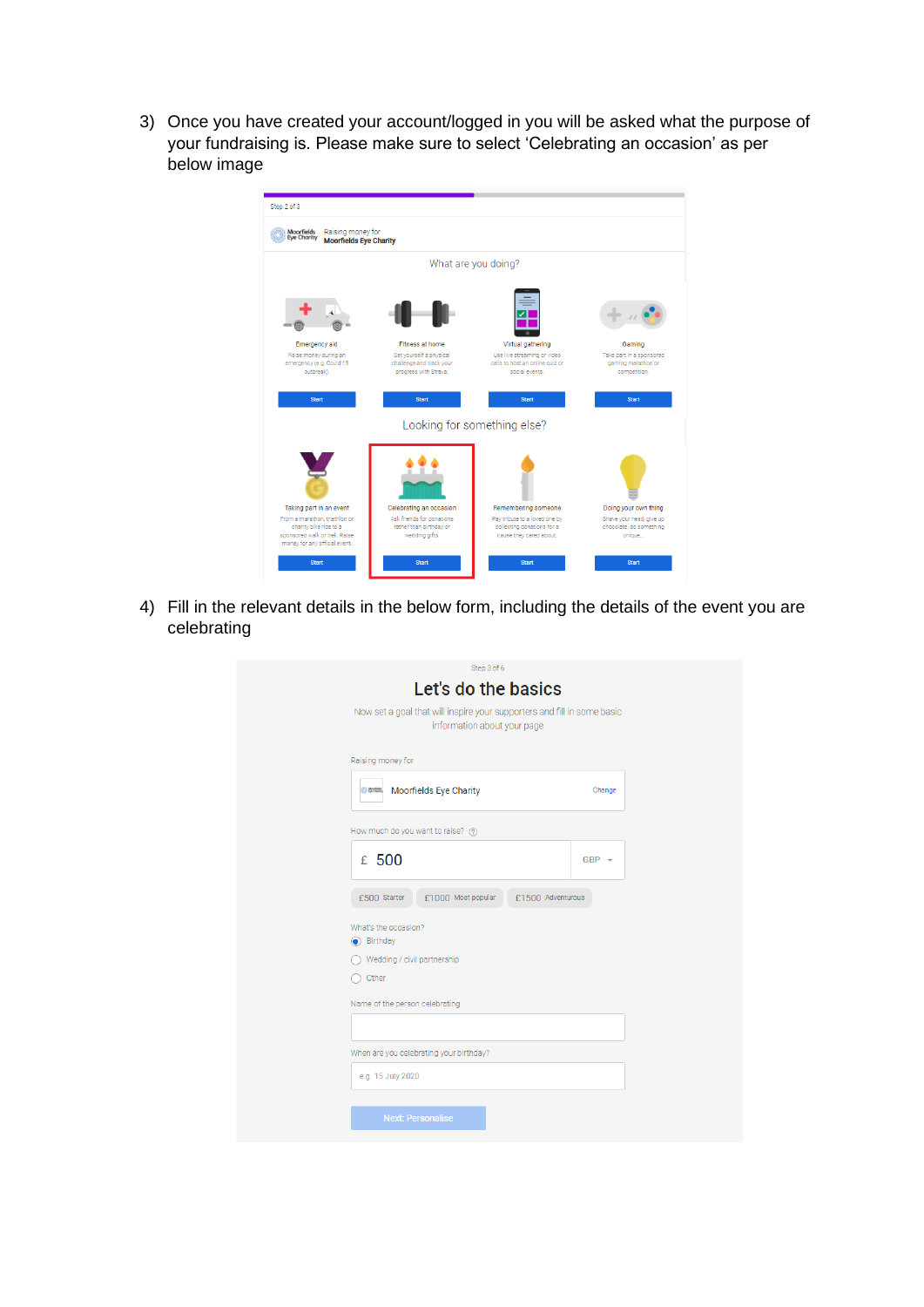3) Once you have created your account/logged in you will be asked what the purpose of your fundraising is. Please make sure to select 'Celebrating an occasion' as per below image

| What are you doing?<br>Virtual gathering<br>Gaming<br>Use live streaming or video<br>calls to host an online quiz or<br>gaming marathon or<br>social events.<br>competition.<br><b>Start</b><br><b>Start</b> |
|--------------------------------------------------------------------------------------------------------------------------------------------------------------------------------------------------------------|
|                                                                                                                                                                                                              |
|                                                                                                                                                                                                              |
| Take part in a sponsored                                                                                                                                                                                     |
|                                                                                                                                                                                                              |
|                                                                                                                                                                                                              |
| Looking for something else?                                                                                                                                                                                  |
|                                                                                                                                                                                                              |
| Doing your own thing<br>Remembering someone                                                                                                                                                                  |
| Pay tribute to a loved one by<br>Shave your head, give up                                                                                                                                                    |
| collecting donations for a<br>chocolate, do something<br>cause they cared about.<br>unique                                                                                                                   |
|                                                                                                                                                                                                              |
|                                                                                                                                                                                                              |

4) Fill in the relevant details in the below form, including the details of the event you are celebrating

| Step 3 of 6                                                                                            |         |
|--------------------------------------------------------------------------------------------------------|---------|
| Let's do the basics                                                                                    |         |
| Now set a goal that will inspire your supporters and fill in some basic<br>information about your page |         |
| Raising money for                                                                                      |         |
| Moorfields Eye Charity<br><b>CO Montere</b>                                                            | Change  |
| How much do you want to raise? ?                                                                       |         |
| £ 500                                                                                                  | $GBP -$ |
| £1000 Most popular<br>£1500 Adventurous<br>£500 Starter                                                |         |
| What's the occasion?<br>Birthday                                                                       |         |
| Wedding / civil partnership                                                                            |         |
| Other                                                                                                  |         |
| Name of the person celebrating                                                                         |         |
|                                                                                                        |         |
| When are you celebrating your birthday?                                                                |         |
| e.g. 15 July 2020                                                                                      |         |
| <b>Next: Personalise</b>                                                                               |         |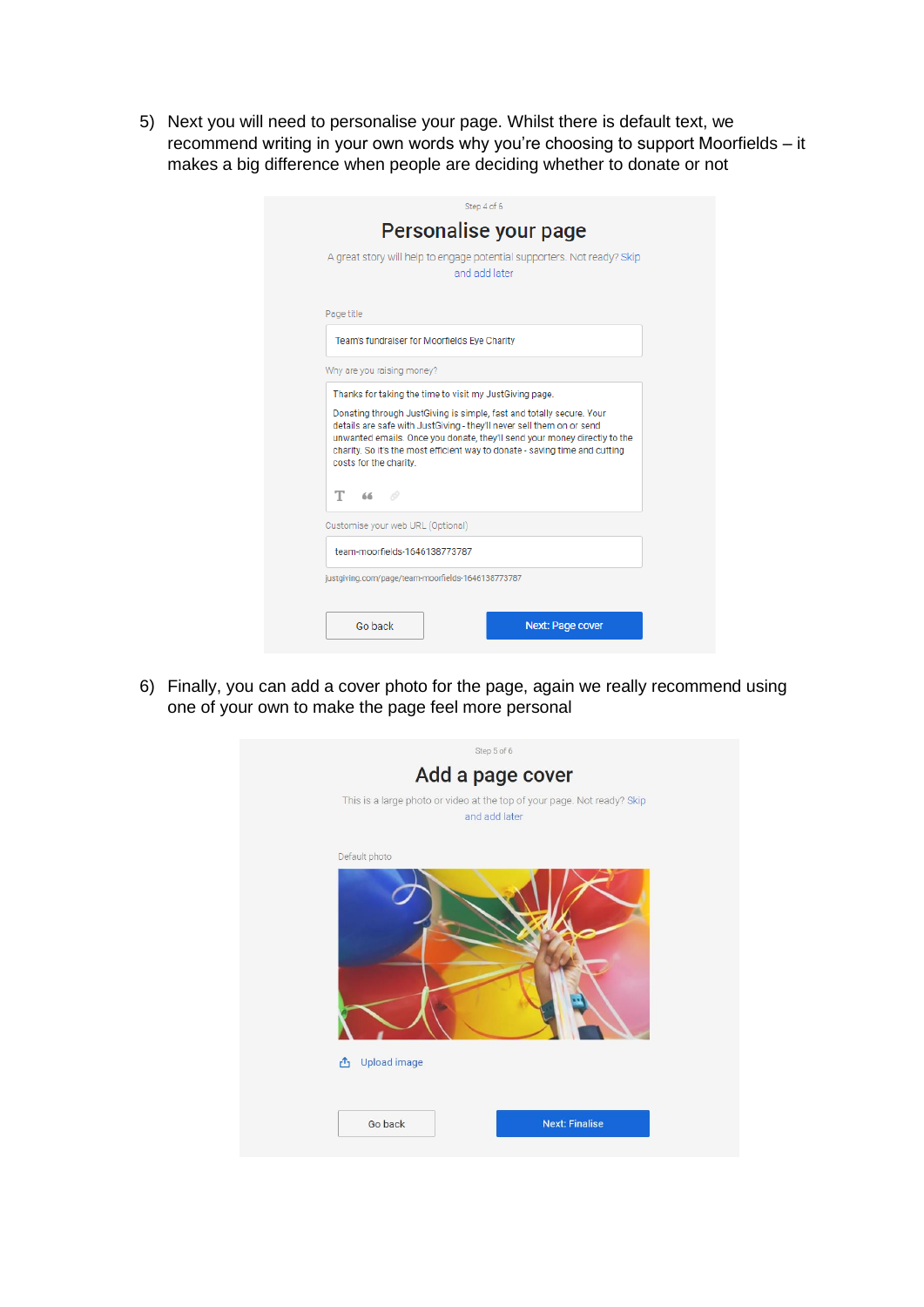5) Next you will need to personalise your page. Whilst there is default text, we recommend writing in your own words why you're choosing to support Moorfields – it makes a big difference when people are deciding whether to donate or not

| Step 4 of 6                                                                                                                                                                                                                                                                                                                         |  |  |  |  |  |
|-------------------------------------------------------------------------------------------------------------------------------------------------------------------------------------------------------------------------------------------------------------------------------------------------------------------------------------|--|--|--|--|--|
| Personalise your page                                                                                                                                                                                                                                                                                                               |  |  |  |  |  |
| A great story will help to engage potential supporters. Not ready? Skip<br>and add later                                                                                                                                                                                                                                            |  |  |  |  |  |
| Page title                                                                                                                                                                                                                                                                                                                          |  |  |  |  |  |
| Team's fundraiser for Moorfields Eye Charity                                                                                                                                                                                                                                                                                        |  |  |  |  |  |
| Why are you raising money?                                                                                                                                                                                                                                                                                                          |  |  |  |  |  |
| Donating through JustGiving is simple, fast and totally secure. Your<br>details are safe with JustGiving - they'll never sell them on or send<br>unwanted emails. Once you donate, they'll send your money directly to the<br>charity. So it's the most efficient way to donate - saving time and cutting<br>costs for the charity. |  |  |  |  |  |
| $T = 66$                                                                                                                                                                                                                                                                                                                            |  |  |  |  |  |
| Customise your web URL (Optional)                                                                                                                                                                                                                                                                                                   |  |  |  |  |  |
| team-moorfields-1646138773787                                                                                                                                                                                                                                                                                                       |  |  |  |  |  |
| justgiving.com/page/team-moorfields-1646138773787                                                                                                                                                                                                                                                                                   |  |  |  |  |  |
| Go back<br>Next: Page cover                                                                                                                                                                                                                                                                                                         |  |  |  |  |  |

6) Finally, you can add a cover photo for the page, again we really recommend using one of your own to make the page feel more personal

| Step 5 of 6                                                                              |  |
|------------------------------------------------------------------------------------------|--|
| Add a page cover                                                                         |  |
| This is a large photo or video at the top of your page. Not ready? Skip<br>and add later |  |
| Default photo                                                                            |  |
| <b>Upload image</b><br>凸                                                                 |  |
| <b>Next: Finalise</b><br>Go back                                                         |  |